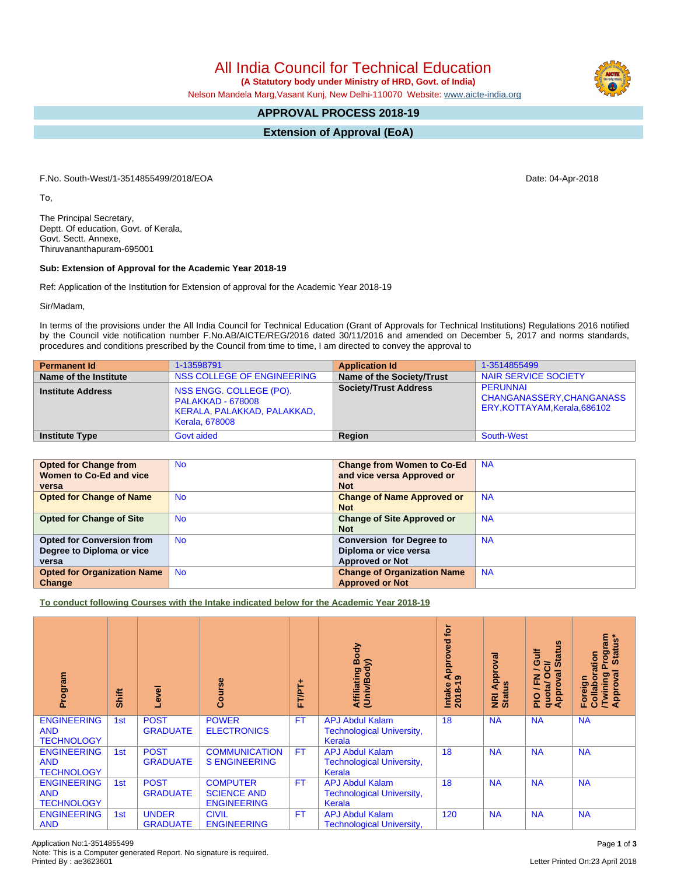Note: This is a Computer generated Report. No signature is required.

## All India Council for Technical Education

 **(A Statutory body under Ministry of HRD, Govt. of India)**

Nelson Mandela Marg,Vasant Kunj, New Delhi-110070 Website: [www.aicte-india.org](http://www.aicte-india.org)

## **APPROVAL PROCESS 2018-19**

**Extension of Approval (EoA)**

F.No. South-West/1-3514855499/2018/EOA Date: 04-Apr-2018

To,

The Principal Secretary, Deptt. Of education, Govt. of Kerala, Govt. Sectt. Annexe, Thiruvananthapuram-695001

## **Sub: Extension of Approval for the Academic Year 2018-19**

Ref: Application of the Institution for Extension of approval for the Academic Year 2018-19

Sir/Madam,

In terms of the provisions under the All India Council for Technical Education (Grant of Approvals for Technical Institutions) Regulations 2016 notified by the Council vide notification number F.No.AB/AICTE/REG/2016 dated 30/11/2016 and amended on December 5, 2017 and norms standards, procedures and conditions prescribed by the Council from time to time, I am directed to convey the approval to

| <b>Permanent Id</b>      | 1-13598791                                                                                                  | <b>Application Id</b>        | 1-3514855499                                                                  |
|--------------------------|-------------------------------------------------------------------------------------------------------------|------------------------------|-------------------------------------------------------------------------------|
| Name of the Institute    | NSS COLLEGE OF ENGINEERING                                                                                  | Name of the Society/Trust    | NAIR SERVICE SOCIETY                                                          |
| <b>Institute Address</b> | NSS ENGG. COLLEGE (PO).<br><b>PALAKKAD - 678008</b><br>KERALA, PALAKKAD, PALAKKAD,<br><b>Kerala, 678008</b> | <b>Society/Trust Address</b> | <b>PERUNNAI</b><br>CHANGANASSERY, CHANGANASS<br>ERY, KOTTAYAM, Kerala, 686102 |
| <b>Institute Type</b>    | Govt aided                                                                                                  | Region                       | South-West                                                                    |

| <b>Opted for Change from</b>       | <b>No</b> | <b>Change from Women to Co-Ed</b>  | <b>NA</b> |
|------------------------------------|-----------|------------------------------------|-----------|
| Women to Co-Ed and vice            |           | and vice versa Approved or         |           |
|                                    |           |                                    |           |
| versa                              |           | <b>Not</b>                         |           |
| <b>Opted for Change of Name</b>    | No.       | <b>Change of Name Approved or</b>  | <b>NA</b> |
|                                    |           | <b>Not</b>                         |           |
| <b>Opted for Change of Site</b>    | No.       | <b>Change of Site Approved or</b>  | <b>NA</b> |
|                                    |           | <b>Not</b>                         |           |
| <b>Opted for Conversion from</b>   | No.       | <b>Conversion for Degree to</b>    | <b>NA</b> |
| Degree to Diploma or vice          |           | Diploma or vice versa              |           |
| versa                              |           | <b>Approved or Not</b>             |           |
| <b>Opted for Organization Name</b> | <b>No</b> | <b>Change of Organization Name</b> | <b>NA</b> |
| Change                             |           | <b>Approved or Not</b>             |           |

**To conduct following Courses with the Intake indicated below for the Academic Year 2018-19**

| Program                                               | Shift | Level                           | rse<br>යි                                                   | FTPT+     | Body<br>Affiliating Be<br>(Univ/Body)                                | <b>jo</b><br>Approved<br>െ<br>$2018 - 19$<br><b>Intake</b> | Approval<br><b>Status</b><br>$\overline{\tilde{\mathbf{g}}}$ | tatus<br>ă<br>ပ<br>ਰੋ<br>∽<br>Ō<br>g<br>준<br>quota/<br>Approv<br>$rac{O}{n}$ | <b>rogram</b><br>Status*<br>Collaboration<br>۵<br>ड़<br><b>Twining</b><br>Approval<br>Foreign |
|-------------------------------------------------------|-------|---------------------------------|-------------------------------------------------------------|-----------|----------------------------------------------------------------------|------------------------------------------------------------|--------------------------------------------------------------|------------------------------------------------------------------------------|-----------------------------------------------------------------------------------------------|
| <b>ENGINEERING</b><br><b>AND</b><br><b>TECHNOLOGY</b> | 1st   | <b>POST</b><br><b>GRADUATE</b>  | <b>POWER</b><br><b>ELECTRONICS</b>                          | <b>FT</b> | <b>APJ Abdul Kalam</b><br><b>Technological University,</b><br>Kerala | 18                                                         | <b>NA</b>                                                    | <b>NA</b>                                                                    | <b>NA</b>                                                                                     |
| <b>ENGINEERING</b><br><b>AND</b><br><b>TECHNOLOGY</b> | 1st   | <b>POST</b><br><b>GRADUATE</b>  | <b>COMMUNICATION</b><br><b>S ENGINEERING</b>                | <b>FT</b> | <b>APJ Abdul Kalam</b><br><b>Technological University,</b><br>Kerala | 18                                                         | <b>NA</b>                                                    | <b>NA</b>                                                                    | <b>NA</b>                                                                                     |
| <b>ENGINEERING</b><br><b>AND</b><br><b>TECHNOLOGY</b> | 1st   | <b>POST</b><br><b>GRADUATE</b>  | <b>COMPUTER</b><br><b>SCIENCE AND</b><br><b>ENGINEERING</b> | <b>FT</b> | <b>APJ Abdul Kalam</b><br><b>Technological University,</b><br>Kerala | 18                                                         | <b>NA</b>                                                    | <b>NA</b>                                                                    | <b>NA</b>                                                                                     |
| <b>ENGINEERING</b><br><b>AND</b>                      | 1st   | <b>UNDER</b><br><b>GRADUATE</b> | <b>CIVIL</b><br><b>ENGINEERING</b>                          | <b>FT</b> | <b>APJ Abdul Kalam</b><br><b>Technological University,</b>           | 120                                                        | <b>NA</b>                                                    | <b>NA</b>                                                                    | <b>NA</b>                                                                                     |

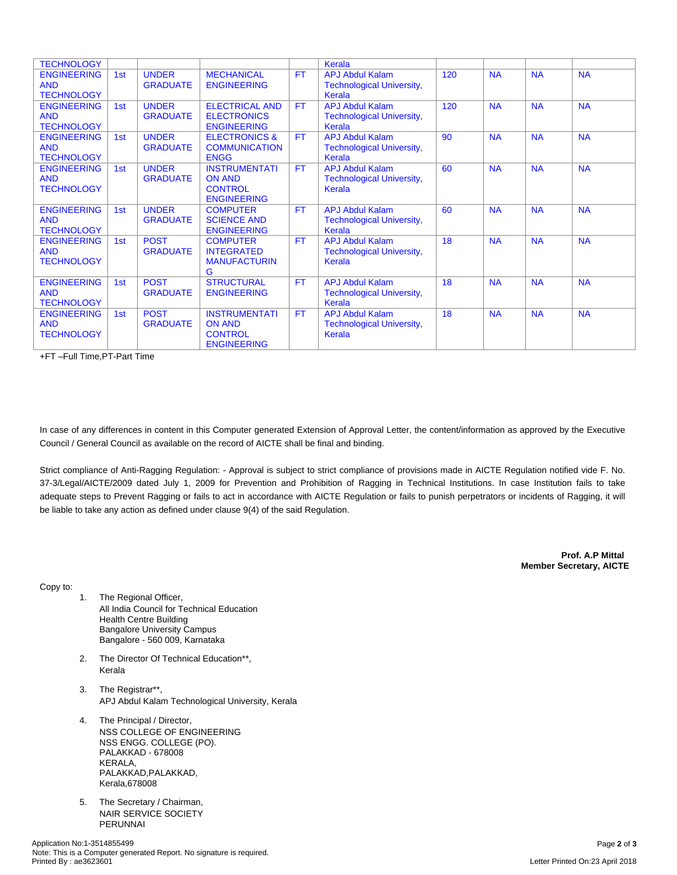| <b>TECHNOLOGY</b>  |     |                 |                          |           | Kerala                           |     |           |           |           |
|--------------------|-----|-----------------|--------------------------|-----------|----------------------------------|-----|-----------|-----------|-----------|
| <b>ENGINEERING</b> | 1st | <b>UNDER</b>    | <b>MECHANICAL</b>        | <b>FT</b> | <b>APJ Abdul Kalam</b>           | 120 | <b>NA</b> | <b>NA</b> | <b>NA</b> |
| <b>AND</b>         |     | <b>GRADUATE</b> | <b>ENGINEERING</b>       |           | <b>Technological University,</b> |     |           |           |           |
| <b>TECHNOLOGY</b>  |     |                 |                          |           | Kerala                           |     |           |           |           |
| <b>ENGINEERING</b> | 1st | <b>UNDER</b>    | <b>ELECTRICAL AND</b>    | <b>FT</b> | <b>APJ Abdul Kalam</b>           | 120 | <b>NA</b> | <b>NA</b> | <b>NA</b> |
| <b>AND</b>         |     | <b>GRADUATE</b> | <b>ELECTRONICS</b>       |           | <b>Technological University,</b> |     |           |           |           |
| <b>TECHNOLOGY</b>  |     |                 | <b>ENGINEERING</b>       |           | Kerala                           |     |           |           |           |
| <b>ENGINEERING</b> | 1st | <b>UNDER</b>    | <b>ELECTRONICS &amp;</b> | <b>FT</b> | <b>APJ Abdul Kalam</b>           | 90  | <b>NA</b> | <b>NA</b> | <b>NA</b> |
| <b>AND</b>         |     | <b>GRADUATE</b> | <b>COMMUNICATION</b>     |           | <b>Technological University,</b> |     |           |           |           |
| <b>TECHNOLOGY</b>  |     |                 | <b>ENGG</b>              |           | Kerala                           |     |           |           |           |
| <b>ENGINEERING</b> | 1st | <b>UNDER</b>    | <b>INSTRUMENTATI</b>     | <b>FT</b> | <b>APJ Abdul Kalam</b>           | 60  | <b>NA</b> | <b>NA</b> | <b>NA</b> |
| <b>AND</b>         |     | <b>GRADUATE</b> | <b>ON AND</b>            |           | <b>Technological University,</b> |     |           |           |           |
| <b>TECHNOLOGY</b>  |     |                 | <b>CONTROL</b>           |           | Kerala                           |     |           |           |           |
|                    |     |                 | <b>ENGINEERING</b>       |           |                                  |     |           |           |           |
| <b>ENGINEERING</b> | 1st | <b>UNDER</b>    | <b>COMPUTER</b>          | <b>FT</b> | <b>APJ Abdul Kalam</b>           | 60  | <b>NA</b> | <b>NA</b> | <b>NA</b> |
| <b>AND</b>         |     | <b>GRADUATE</b> | <b>SCIENCE AND</b>       |           | <b>Technological University,</b> |     |           |           |           |
| <b>TECHNOLOGY</b>  |     |                 | <b>ENGINEERING</b>       |           | Kerala                           |     |           |           |           |
| <b>ENGINEERING</b> | 1st | <b>POST</b>     | <b>COMPUTER</b>          | <b>FT</b> | <b>APJ Abdul Kalam</b>           | 18  | <b>NA</b> | <b>NA</b> | <b>NA</b> |
| <b>AND</b>         |     | <b>GRADUATE</b> | <b>INTEGRATED</b>        |           | <b>Technological University,</b> |     |           |           |           |
| <b>TECHNOLOGY</b>  |     |                 | <b>MANUFACTURIN</b>      |           | Kerala                           |     |           |           |           |
|                    |     |                 | G                        |           |                                  |     |           |           |           |
| <b>ENGINEERING</b> | 1st | <b>POST</b>     | <b>STRUCTURAL</b>        | <b>FT</b> | <b>APJ Abdul Kalam</b>           | 18  | <b>NA</b> | <b>NA</b> | <b>NA</b> |
| <b>AND</b>         |     | <b>GRADUATE</b> | <b>ENGINEERING</b>       |           | <b>Technological University,</b> |     |           |           |           |
| <b>TECHNOLOGY</b>  |     |                 |                          |           | Kerala                           |     |           |           |           |
| <b>ENGINEERING</b> | 1st | <b>POST</b>     | <b>INSTRUMENTATI</b>     | <b>FT</b> | <b>APJ Abdul Kalam</b>           | 18  | <b>NA</b> | <b>NA</b> | <b>NA</b> |
| <b>AND</b>         |     | <b>GRADUATE</b> | <b>ON AND</b>            |           | <b>Technological University,</b> |     |           |           |           |
| <b>TECHNOLOGY</b>  |     |                 | <b>CONTROL</b>           |           | Kerala                           |     |           |           |           |
|                    |     |                 | <b>ENGINEERING</b>       |           |                                  |     |           |           |           |

+FT –Full Time,PT-Part Time

In case of any differences in content in this Computer generated Extension of Approval Letter, the content/information as approved by the Executive Council / General Council as available on the record of AICTE shall be final and binding.

Strict compliance of Anti-Ragging Regulation: - Approval is subject to strict compliance of provisions made in AICTE Regulation notified vide F. No. 37-3/Legal/AICTE/2009 dated July 1, 2009 for Prevention and Prohibition of Ragging in Technical Institutions. In case Institution fails to take adequate steps to Prevent Ragging or fails to act in accordance with AICTE Regulation or fails to punish perpetrators or incidents of Ragging, it will be liable to take any action as defined under clause 9(4) of the said Regulation.

> **Prof. A.P Mittal Member Secretary, AICTE**

Copy to:

- 1. The Regional Officer, All India Council for Technical Education Health Centre Building Bangalore University Campus Bangalore - 560 009, Karnataka
- 2. The Director Of Technical Education\*\*, Kerala
- 3. The Registrar\*\*, APJ Abdul Kalam Technological University, Kerala
- 4. The Principal / Director, NSS COLLEGE OF ENGINEERING NSS ENGG. COLLEGE (PO). PALAKKAD - 678008 KERALA, PALAKKAD,PALAKKAD, Kerala,678008
- 5. The Secretary / Chairman, NAIR SERVICE SOCIETY PERUNNAI